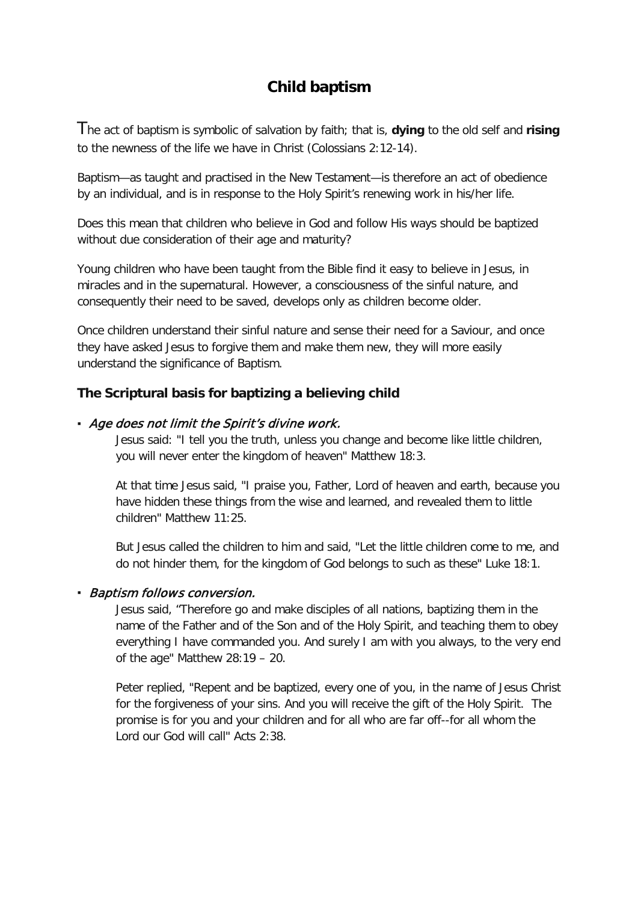# **Child baptism**

The act of baptism is symbolic of salvation by faith; that is, **dying** to the old self and **rising** to the newness of the life we have in Christ (Colossians 2:12-14).

Baptism—as taught and practised in the New Testament—is therefore an act of obedience by an individual, and is in response to the Holy Spirit's renewing work in his/her life.

Does this mean that children who believe in God and follow His ways should be baptized without due consideration of their age and maturity?

Young children who have been taught from the Bible find it easy to believe in Jesus, in miracles and in the supernatural. However, a consciousness of the sinful nature, and consequently their need to be saved, develops only as children become older.

Once children understand their sinful nature and sense their need for a Saviour, and once they have asked Jesus to forgive them and make them new, they will more easily understand the significance of Baptism.

### **The Scriptural basis for baptizing a believing child**

#### ▪ Age does not limit the Spirit's divine work.

Jesus said: "I tell you the truth, unless you change and become like little children, you will never enter the kingdom of heaven" Matthew 18:3.

At that time Jesus said, "I praise you, Father, Lord of heaven and earth, because you have hidden these things from the wise and learned, and revealed them to little children" Matthew 11:25.

But Jesus called the children to him and said, "Let the little children come to me, and do not hinder them, for the kingdom of God belongs to such as these" Luke 18:1.

#### ▪ Baptism follows conversion.

Jesus said, "Therefore go and make disciples of all nations, baptizing them in the name of the Father and of the Son and of the Holy Spirit, and teaching them to obey everything I have commanded you. And surely I am with you always, to the very end of the age" Matthew 28:19 – 20.

Peter replied, "Repent and be baptized, every one of you, in the name of Jesus Christ for the forgiveness of your sins. And you will receive the gift of the Holy Spirit. The promise is for you and your children and for all who are far off--for all whom the Lord our God will call" Acts 2:38.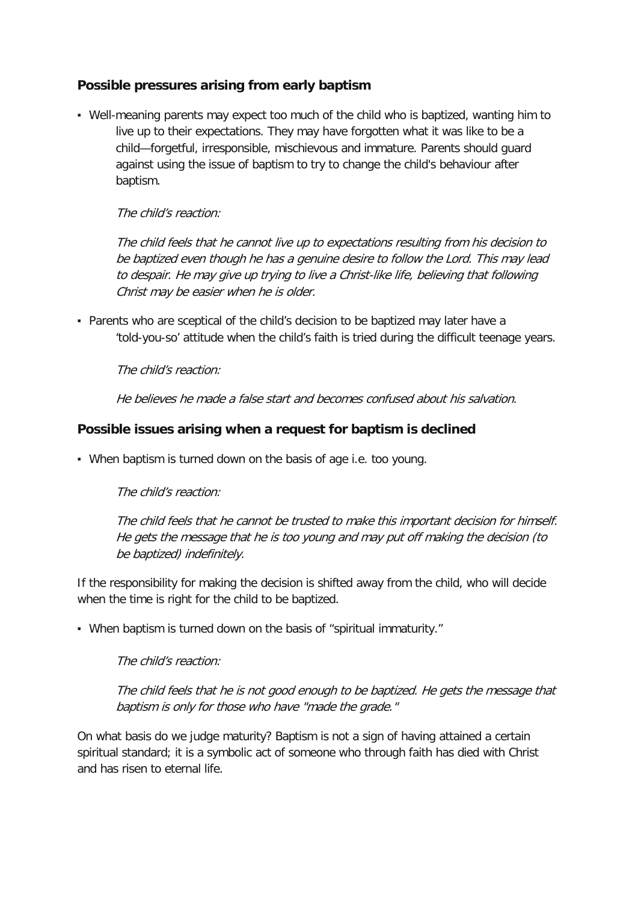### **Possible pressures arising from early baptism**

▪ Well-meaning parents may expect too much of the child who is baptized, wanting him to live up to their expectations. They may have forgotten what it was like to be a child—forgetful, irresponsible, mischievous and immature. Parents should guard against using the issue of baptism to try to change the child's behaviour after baptism.

#### The child's reaction:

The child feels that he cannot live up to expectations resulting from his decision to be baptized even though he has a genuine desire to follow the Lord. This may lead to despair. He may give up trying to live a Christ-like life, believing that following Christ may be easier when he is older.

▪ Parents who are sceptical of the child's decision to be baptized may later have a 'told-you-so' attitude when the child's faith is tried during the difficult teenage years.

The child's reaction:

He believes he made a false start and becomes confused about his salvation.

### **Possible issues arising when a request for baptism is declined**

▪ When baptism is turned down on the basis of age i.e. too young.

### The child's reaction:

The child feels that he cannot be trusted to make this important decision for himself. He gets the message that he is too young and may put off making the decision (to be baptized) indefinitely.

If the responsibility for making the decision is shifted away from the child, who will decide when the time is right for the child to be baptized.

▪ When baptism is turned down on the basis of "spiritual immaturity."

#### The child's reaction:

The child feels that he is not good enough to be baptized. He gets the message that baptism is only for those who have "made the grade."

On what basis do we judge maturity? Baptism is not a sign of having attained a certain spiritual standard; it is a symbolic act of someone who through faith has died with Christ and has risen to eternal life.